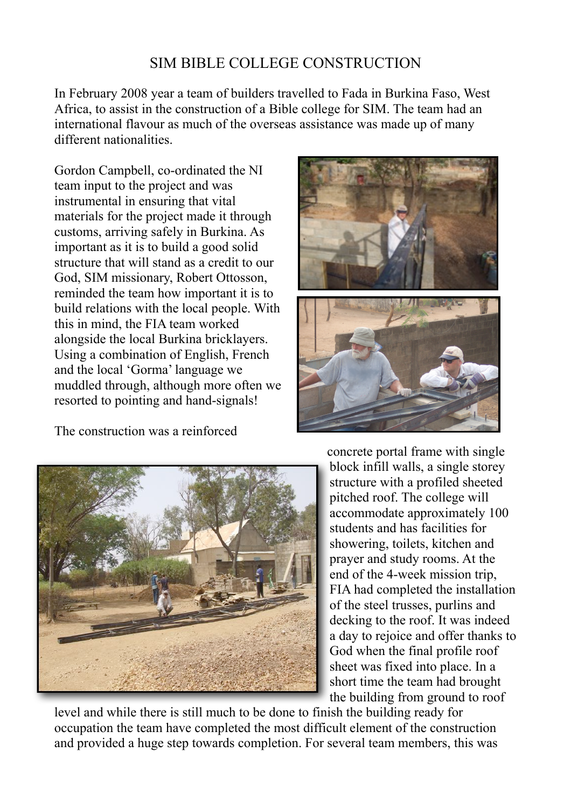## SIM BIBLE COLLEGE CONSTRUCTION

In February 2008 year a team of builders travelled to Fada in Burkina Faso, West Africa, to assist in the construction of a Bible college for SIM. The team had an international flavour as much of the overseas assistance was made up of many different nationalities.

Gordon Campbell, co-ordinated the NI team input to the project and was instrumental in ensuring that vital materials for the project made it through customs, arriving safely in Burkina. As important as it is to build a good solid structure that will stand as a credit to our God, SIM missionary, Robert Ottosson, reminded the team how important it is to build relations with the local people. With this in mind, the FIA team worked alongside the local Burkina bricklayers. Using a combination of English, French and the local 'Gorma' language we muddled through, although more often we resorted to pointing and hand-signals!

The construction was a reinforced





concrete portal frame with single block infill walls, a single storey structure with a profiled sheeted pitched roof. The college will accommodate approximately 100 students and has facilities for showering, toilets, kitchen and prayer and study rooms. At the end of the 4-week mission trip, FIA had completed the installation of the steel trusses, purlins and decking to the roof. It was indeed a day to rejoice and offer thanks to God when the final profile roof sheet was fixed into place. In a short time the team had brought the building from ground to roof

level and while there is still much to be done to finish the building ready for occupation the team have completed the most difficult element of the construction and provided a huge step towards completion. For several team members, this was